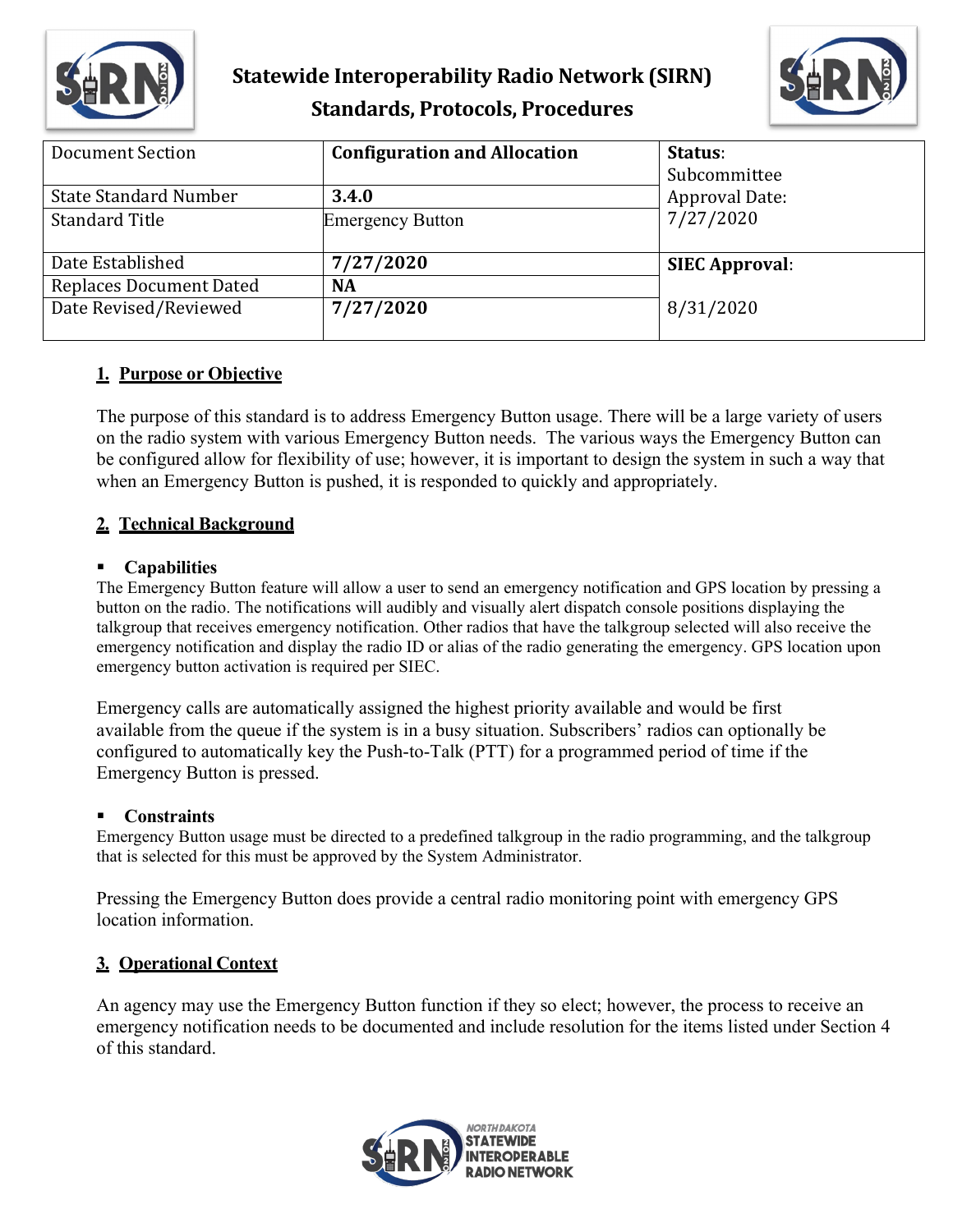

## **Statewide Interoperability Radio Network (SIRN) Standards, Protocols, Procedures**



| <b>Document Section</b>        | <b>Configuration and Allocation</b> | Status:               |
|--------------------------------|-------------------------------------|-----------------------|
|                                |                                     | Subcommittee          |
| <b>State Standard Number</b>   | 3.4.0                               | Approval Date:        |
| <b>Standard Title</b>          | <b>Emergency Button</b>             | 7/27/2020             |
|                                |                                     |                       |
| Date Established               | 7/27/2020                           | <b>SIEC Approval:</b> |
| <b>Replaces Document Dated</b> | <b>NA</b>                           |                       |
| Date Revised/Reviewed          | 7/27/2020                           | 8/31/2020             |
|                                |                                     |                       |

## **1. Purpose or Objective**

The purpose of this standard is to address Emergency Button usage. There will be a large variety of users on the radio system with various Emergency Button needs. The various ways the Emergency Button can be configured allow for flexibility of use; however, it is important to design the system in such a way that when an Emergency Button is pushed, it is responded to quickly and appropriately.

## **2. Technical Background**

#### **Capabilities**

The Emergency Button feature will allow a user to send an emergency notification and GPS location by pressing a button on the radio. The notifications will audibly and visually alert dispatch console positions displaying the talkgroup that receives emergency notification. Other radios that have the talkgroup selected will also receive the emergency notification and display the radio ID or alias of the radio generating the emergency. GPS location upon emergency button activation is required per SIEC.

Emergency calls are automatically assigned the highest priority available and would be first available from the queue if the system is in a busy situation. Subscribers' radios can optionally be configured to automatically key the Push-to-Talk (PTT) for a programmed period of time if the Emergency Button is pressed.

#### **Constraints**

Emergency Button usage must be directed to a predefined talkgroup in the radio programming, and the talkgroup that is selected for this must be approved by the System Administrator.

Pressing the Emergency Button does provide a central radio monitoring point with emergency GPS location information.

#### **3. Operational Context**

An agency may use the Emergency Button function if they so elect; however, the process to receive an emergency notification needs to be documented and include resolution for the items listed under Section 4 of this standard.